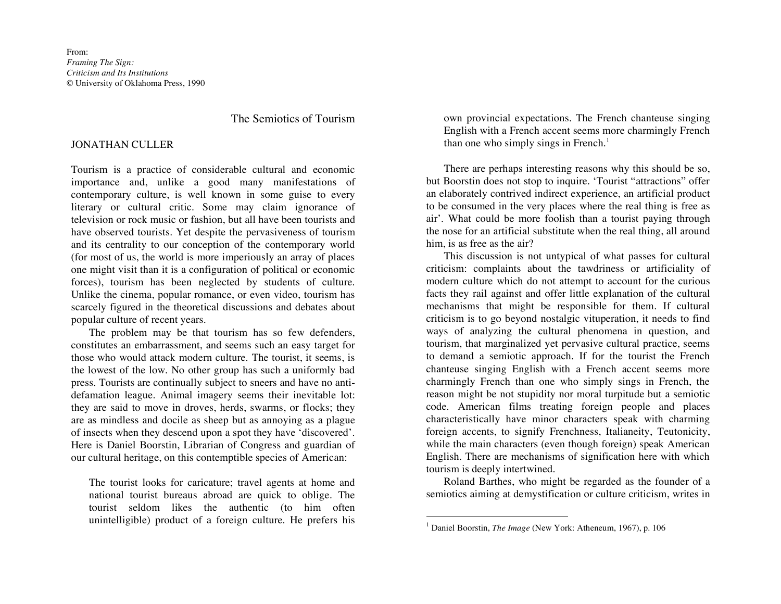From: *Framing The Sign: Criticism and Its Institutions* © University of Oklahoma Press, 1990

## The Semiotics of Tourism

## JONATHAN CULLER

Tourism is a practice of considerable cultural and economic importance and, unlike a good many manifestations of contemporary culture, is well known in some guise to every literary or cultural critic. Some may claim ignorance of television or rock music or fashion, but all have been tourists and have observed tourists. Yet despite the pervasiveness of tourism and its centrality to our conception of the contemporary world (for most of us, the world is more imperiously an array of places one might visit than it is a configuration of political or economic forces), tourism has been neglected by students of culture. Unlike the cinema, popular romance, or even video, tourism has scarcely figured in the theoretical discussions and debates about popular culture of recent years.

The problem may be that tourism has so few defenders, constitutes an embarrassment, and seems such an easy target for those who would attack modern culture. The tourist, it seems, is the lowest of the low. No other group has such a uniformly bad press. Tourists are continually subject to sneers and have no antidefamation league. Animal imagery seems their inevitable lot: they are said to move in droves, herds, swarms, or flocks; they are as mindless and docile as sheep but as annoying as a plague of insects when they descend upon a spot they have 'discovered'. Here is Daniel Boorstin, Librarian of Congress and guardian of our cultural heritage, on this contemptible species of American:

The tourist looks for caricature; travel agents at home and national tourist bureaus abroad are quick to oblige. The tourist seldom likes the authentic (to him often unintelligible) product of a foreign culture. He prefers his

own provincial expectations. The French chanteuse singing English with a French accent seems more charmingly French than one who simply sings in French.<sup>1</sup>

There are perhaps interesting reasons why this should be so, but Boorstin does not stop to inquire. 'Tourist "attractions" offer an elaborately contrived indirect experience, an artificial product to be consumed in the very places where the real thing is free as air'. What could be more foolish than a tourist paying through the nose for an artificial substitute when the real thing, all around him, is as free as the air?

This discussion is not untypical of what passes for cultural criticism: complaints about the tawdriness or artificiality of modern culture which do not attempt to account for the curious facts they rail against and offer little explanation of the cultural mechanisms that might be responsible for them. If cultural criticism is to go beyond nostalgic vituperation, it needs to find ways of analyzing the cultural phenomena in question, and tourism, that marginalized yet pervasive cultural practice, seems to demand a semiotic approach. If for the tourist the French chanteuse singing English with a French accent seems more charmingly French than one who simply sings in French, the reason might be not stupidity nor moral turpitude but a semiotic code. American films treating foreign people and places characteristically have minor characters speak with charming foreign accents, to signify Frenchness, Italianeity, Teutonicity, while the main characters (even though foreign) speak American English. There are mechanisms of signification here with which tourism is deeply intertwined.

Roland Barthes, who might be regarded as the founder of a semiotics aiming at demystification or culture criticism, writes in

<sup>&</sup>lt;sup>1</sup> Daniel Boorstin, *The Image* (New York: Atheneum, 1967), p. 106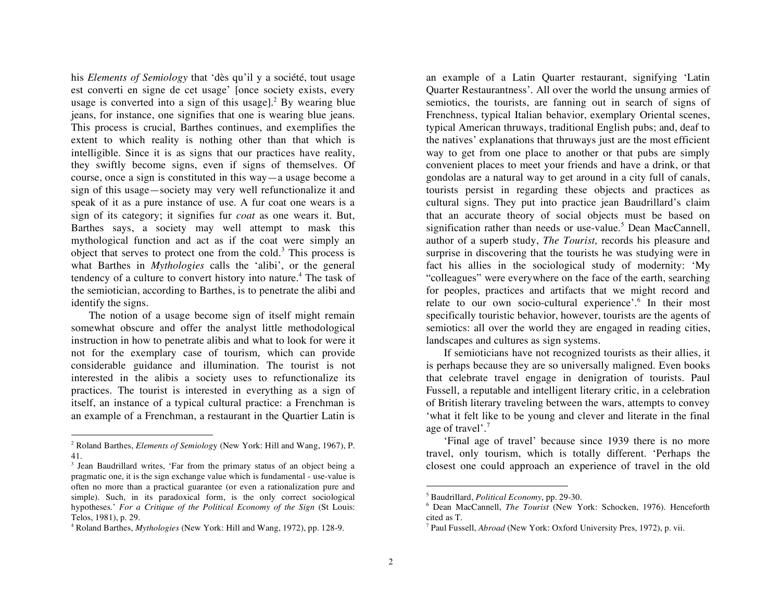his *Elements of Semiology* that 'dès qu'il y a société, tout usage est converti en signe de cet usage' [once society exists, every usage is converted into a sign of this usage].<sup>2</sup> By wearing blue jeans, for instance, one signifies that one is wearing blue jeans. This process is crucial, Barthes continues, and exemplifies the extent to which reality is nothing other than that which is intelligible. Since it is as signs that our practices have reality, they swiftly become signs, even if signs of themselves. Of course, once a sign is constituted in this way—a usage become a sign of this usage—society may very well refunctionalize it and speak of it as a pure instance of use. A fur coat one wears is a sign of its category; it signifies fur *coat* as one wears it. But, Barthes says, a society may well attempt to mask this mythological function and act as if the coat were simply an object that serves to protect one from the cold. <sup>3</sup> This process is what Barthes in *Mythologies* calls the 'alibi', or the general tendency of a culture to convert history into nature.<sup>4</sup> The task of the semiotician, according to Barthes, is to penetrate the alibi and identify the signs.

The notion of a usage become sign of itself might remain somewhat obscure and offer the analyst little methodological instruction in how to penetrate alibis and what to look for were it not for the exemplary case of tourism, which can provide considerable guidance and illumination. The tourist is not interested in the alibis a society uses to refunctionalize its practices. The tourist is interested in everything as a sign of itself, an instance of a typical cultural practice: a Frenchman is an example of a Frenchman, a restaurant in the Quartier Latin is

 $\overline{a}$ 

an example of a Latin Quarter restaurant, signifying 'Latin Quarter Restaurantness'. All over the world the unsung armies of semiotics, the tourists, are fanning out in search of signs of Frenchness, typical Italian behavior, exemplary Oriental scenes, typical American thruways, traditional English pubs; and, deaf to the natives' explanations that thruways just are the most efficient way to get from one place to another or that pubs are simply convenient places to meet your friends and have a drink, or that gondolas are a natural way to get around in a city full of canals, tourists persist in regarding these objects and practices as cultural signs. They put into practice jean Baudrillard's claim that an accurate theory of social objects must be based on signification rather than needs or use-value.<sup>5</sup> Dean MacCannell, author of a superb study, *The Tourist,* records his pleasure and surprise in discovering that the tourists he was studying were in fact his allies in the sociological study of modernity: 'My "colleagues" were everywhere on the face of the earth, searching for peoples, practices and artifacts that we might record and relate to our own socio-cultural experience'.<sup>6</sup> In their most specifically touristic behavior, however, tourists are the agents of semiotics: all over the world they are engaged in reading cities, landscapes and cultures as sign systems.

If semioticians have not recognized tourists as their allies, it is perhaps because they are so universally maligned. Even books that celebrate travel engage in denigration of tourists. Paul Fussell, a reputable and intelligent literary critic, in a celebration of British literary traveling between the wars, attempts to convey 'what it felt like to be young and clever and literate in the final age of travel'.<sup>7</sup>

'Final age of travel' because since 1939 there is no more travel, only tourism, which is totally different. 'Perhaps the closest one could approach an experience of travel in the old

<sup>2</sup> Roland Barthes, *Elements of Semiolog*y (New York: Hill and Wang, 1967), P. 41.

<sup>&</sup>lt;sup>3</sup> Jean Baudrillard writes, 'Far from the primary status of an object being a pragmatic one, it is the sign exchange value which is fundamental - use-value is often no more than a practical guarantee (or even a rationalization pure and simple). Such, in its paradoxical form, is the only correct sociological hypotheses.' *For a Critique of the Political Economy of the Sign* (St Louis: Telos, 1981), p. 29.

<sup>4</sup> Roland Barthes, *Mythologies* (New York: Hill and Wang, 1972), pp. 128-9.

<sup>5</sup> Baudrillard, *Political Economy*, pp. 29-30.

<sup>6</sup> Dean MacCannell, *The Tourist* (New York: Schocken, 1976). Henceforth cited as T.

<sup>7</sup> Paul Fussell, *Abroad* (New York: Oxford University Pres, 1972), p. vii.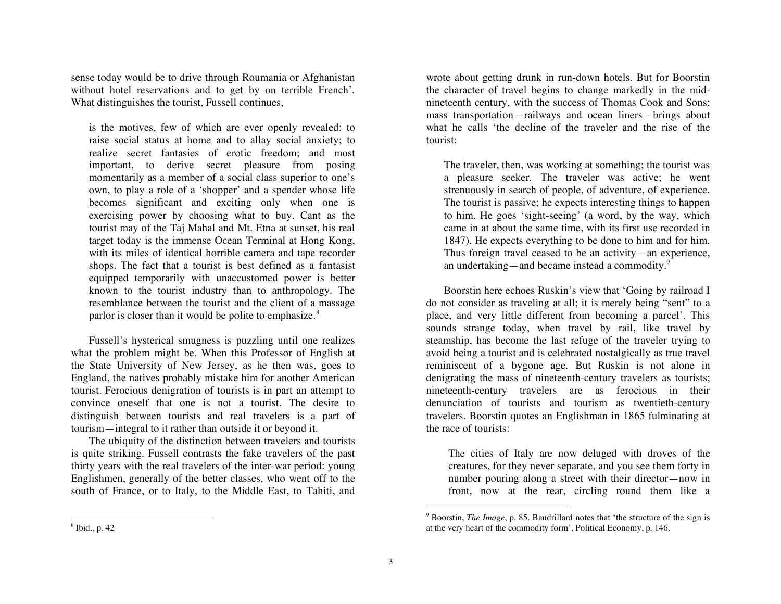sense today would be to drive through Roumania or Afghanistan without hotel reservations and to get by on terrible French'. What distinguishes the tourist, Fussell continues,

is the motives, few of which are ever openly revealed: to raise social status at home and to allay social anxiety; to realize secret fantasies of erotic freedom; and most important, to derive secret pleasure from posing momentarily as a member of a social class superior to one's own, to play a role of a 'shopper' and a spender whose life becomes significant and exciting only when one is exercising power by choosing what to buy. Cant as the tourist may of the Taj Mahal and Mt. Etna at sunset, his real target today is the immense Ocean Terminal at Hong Kong, with its miles of identical horrible camera and tape recorder shops. The fact that a tourist is best defined as a fantasist equipped temporarily with unaccustomed power is better known to the tourist industry than to anthropology. The resemblance between the tourist and the client of a massage parlor is closer than it would be polite to emphasize.<sup>8</sup>

Fussell's hysterical smugness is puzzling until one realizes what the problem might be. When this Professor of English at the State University of New Jersey, as he then was, goes to England, the natives probably mistake him for another American tourist. Ferocious denigration of tourists is in part an attempt to convince oneself that one is not a tourist. The desire to distinguish between tourists and real travelers is a part of tourism—integral to it rather than outside it or beyond it.

The ubiquity of the distinction between travelers and tourists is quite striking. Fussell contrasts the fake travelers of the past thirty years with the real travelers of the inter-war period: young Englishmen, generally of the better classes, who went off to the south of France, or to Italy, to the Middle East, to Tahiti, and

wrote about getting drunk in run-down hotels. But for Boorstin the character of travel begins to change markedly in the midnineteenth century, with the success of Thomas Cook and Sons: mass transportation—railways and ocean liners—brings about what he calls 'the decline of the traveler and the rise of the tourist:

The traveler, then, was working at something; the tourist was a pleasure seeker. The traveler was active; he went strenuously in search of people, of adventure, of experience. The tourist is passive; he expects interesting things to happen to him. He goes 'sight-seeing' (a word, by the way, which came in at about the same time, with its first use recorded in 1847). He expects everything to be done to him and for him. Thus foreign travel ceased to be an activity—an experience, an undertaking—and became instead a commodity.<sup>9</sup>

Boorstin here echoes Ruskin's view that 'Going by railroad I do not consider as traveling at all; it is merely being "sent" to a place, and very little different from becoming a parcel'. This sounds strange today, when travel by rail, like travel by steamship, has become the last refuge of the traveler trying to avoid being a tourist and is celebrated nostalgically as true travel reminiscent of a bygone age. But Ruskin is not alone in denigrating the mass of nineteenth-century travelers as tourists; nineteenth-century travelers are as ferocious in their denunciation of tourists and tourism as twentieth-century travelers. Boorstin quotes an Englishman in 1865 fulminating at the race of tourists:

The cities of Italy are now deluged with droves of the creatures, for they never separate, and you see them forty in number pouring along a street with their director—now in front, now at the rear, circling round them like a

 $\overline{a}$ 

<sup>9</sup> Boorstin, *The Image*, p. 85. Baudrillard notes that 'the structure of the sign is at the very heart of the commodity form', Political Economy, p. 146.

<sup>8</sup> Ibid., p. 42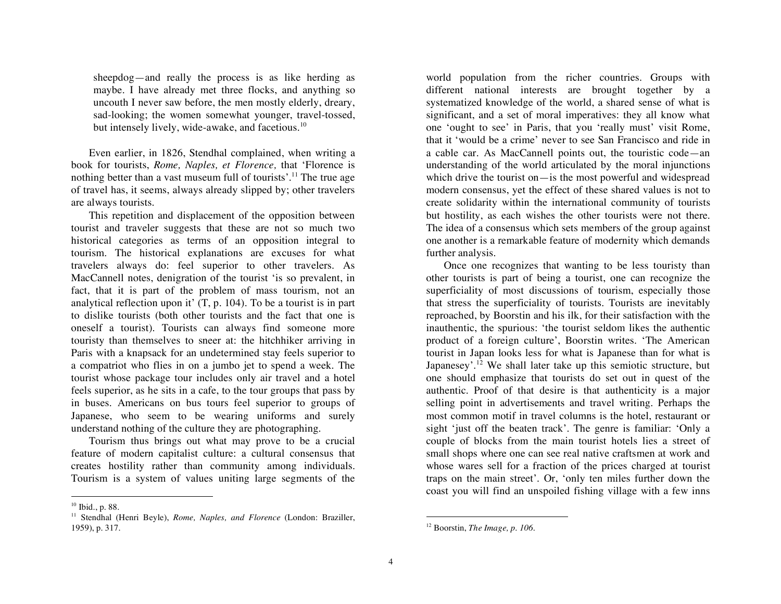sheepdog—and really the process is as like herding as maybe. I have already met three flocks, and anything so uncouth I never saw before, the men mostly elderly, dreary, sad-looking; the women somewhat younger, travel-tossed, but intensely lively, wide-awake, and facetious.<sup>10</sup>

Even earlier, in 1826, Stendhal complained, when writing a book for tourists, *Rome, Naples, et Florence,* that 'Florence is nothing better than a vast museum full of tourists'.<sup>11</sup> The true age of travel has, it seems, always already slipped by; other travelers are always tourists.

This repetition and displacement of the opposition between tourist and traveler suggests that these are not so much two historical categories as terms of an opposition integral to tourism. The historical explanations are excuses for what travelers always do: feel superior to other travelers. As MacCannell notes, denigration of the tourist 'is so prevalent, in fact, that it is part of the problem of mass tourism, not an analytical reflection upon it' (T, p. 104). To be a tourist is in part to dislike tourists (both other tourists and the fact that one is oneself a tourist). Tourists can always find someone more touristy than themselves to sneer at: the hitchhiker arriving in Paris with a knapsack for an undetermined stay feels superior to a compatriot who flies in on a jumbo jet to spend a week. The tourist whose package tour includes only air travel and a hotel feels superior, as he sits in a cafe, to the tour groups that pass by in buses. Americans on bus tours feel superior to groups of Japanese, who seem to be wearing uniforms and surely understand nothing of the culture they are photographing.

Tourism thus brings out what may prove to be a crucial feature of modern capitalist culture: a cultural consensus that creates hostility rather than community among individuals. Tourism is a system of values uniting large segments of the

 $\overline{a}$ 

world population from the richer countries. Groups with different national interests are brought together by a systematized knowledge of the world, a shared sense of what is significant, and a set of moral imperatives: they all know what one 'ought to see' in Paris, that you 'really must' visit Rome, that it 'would be a crime' never to see San Francisco and ride in a cable car. As MacCannell points out, the touristic code—an understanding of the world articulated by the moral injunctions which drive the tourist on—is the most powerful and widespread modern consensus, yet the effect of these shared values is not to create solidarity within the international community of tourists but hostility, as each wishes the other tourists were not there. The idea of a consensus which sets members of the group against one another is a remarkable feature of modernity which demands further analysis.

Once one recognizes that wanting to be less touristy than other tourists is part of being a tourist, one can recognize the superficiality of most discussions of tourism, especially those that stress the superficiality of tourists. Tourists are inevitably reproached, by Boorstin and his ilk, for their satisfaction with the inauthentic, the spurious: 'the tourist seldom likes the authentic product of a foreign culture', Boorstin writes. 'The American tourist in Japan looks less for what is Japanese than for what is Japanesey'.<sup>12</sup> We shall later take up this semiotic structure, but one should emphasize that tourists do set out in quest of the authentic. Proof of that desire is that authenticity is a major selling point in advertisements and travel writing. Perhaps the most common motif in travel columns is the hotel, restaurant or sight 'just off the beaten track'. The genre is familiar: 'Only a couple of blocks from the main tourist hotels lies a street of small shops where one can see real native craftsmen at work and whose wares sell for a fraction of the prices charged at tourist traps on the main street'. Or, 'only ten miles further down the coast you will find an unspoiled fishing village with a few inns

<sup>10</sup> Ibid., p. 88.

<sup>11</sup> Stendhal (Henri Beyle), *Rome, Naples, and Florence* (London: Braziller, 1959), p. 317.

<sup>12</sup> Boorstin, *The Image, p. 106.*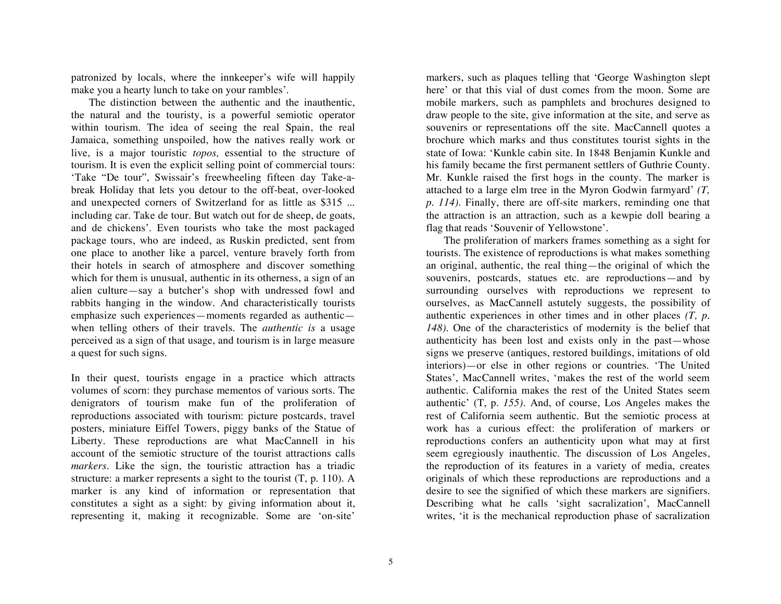patronized by locals, where the innkeeper's wife will happily make you a hearty lunch to take on your rambles'.

The distinction between the authentic and the inauthentic, the natural and the touristy, is a powerful semiotic operator within tourism. The idea of seeing the real Spain, the real Jamaica, something unspoiled, how the natives really work or live, is a major touristic *topos,* essential to the structure of tourism. It is even the explicit selling point of commercial tours: 'Take "De tour", Swissair's freewheeling fifteen day Take-abreak Holiday that lets you detour to the off-beat, over-looked and unexpected corners of Switzerland for as little as \$315 ... including car. Take de tour. But watch out for de sheep, de goats, and de chickens'. Even tourists who take the most packaged package tours, who are indeed, as Ruskin predicted, sent from one place to another like a parcel, venture bravely forth from their hotels in search of atmosphere and discover something which for them is unusual, authentic in its otherness, a sign of an alien culture—say a butcher's shop with undressed fowl and rabbits hanging in the window. And characteristically tourists emphasize such experiences—moments regarded as authentic when telling others of their travels. The *authentic is* a usage perceived as a sign of that usage, and tourism is in large measure a quest for such signs.

In their quest, tourists engage in a practice which attracts volumes of scorn: they purchase mementos of various sorts. The denigrators of tourism make fun of the proliferation of reproductions associated with tourism: picture postcards, travel posters, miniature Eiffel Towers, piggy banks of the Statue of Liberty. These reproductions are what MacCannell in his account of the semiotic structure of the tourist attractions calls *markers.* Like the sign, the touristic attraction has a triadic structure: a marker represents a sight to the tourist (T, p. 110). A marker is any kind of information or representation that constitutes a sight as a sight: by giving information about it, representing it, making it recognizable. Some are 'on-site'

markers, such as plaques telling that 'George Washington slept here' or that this vial of dust comes from the moon. Some are mobile markers, such as pamphlets and brochures designed to draw people to the site, give information at the site, and serve as souvenirs or representations off the site. MacCannell quotes a brochure which marks and thus constitutes tourist sights in the state of Iowa: 'Kunkle cabin site. In 1848 Benjamin Kunkle and his family became the first permanent settlers of Guthrie County. Mr. Kunkle raised the first hogs in the county. The marker is attached to a large elm tree in the Myron Godwin farmyard' *(T, p. 114).* Finally, there are off-site markers, reminding one that the attraction is an attraction, such as a kewpie doll bearing a flag that reads 'Souvenir of Yellowstone'.

The proliferation of markers frames something as a sight for tourists. The existence of reproductions is what makes something an original, authentic, the real thing—the original of which the souvenirs, postcards, statues etc. are reproductions—and by surrounding ourselves with reproductions we represent to ourselves, as MacCannell astutely suggests, the possibility of authentic experiences in other times and in other places *(T, p. 148).* One of the characteristics of modernity is the belief that authenticity has been lost and exists only in the past—whose signs we preserve (antiques, restored buildings, imitations of old interiors)—or else in other regions or countries. 'The United States', MacCannell writes, 'makes the rest of the world seem authentic. California makes the rest of the United States seem authentic' (T, p. *155).* And, of course, Los Angeles makes the rest of California seem authentic. But the semiotic process at work has a curious effect: the proliferation of markers or reproductions confers an authenticity upon what may at first seem egregiously inauthentic. The discussion of Los Angeles, the reproduction of its features in a variety of media, creates originals of which these reproductions are reproductions and a desire to see the signified of which these markers are signifiers. Describing what he calls 'sight sacralization', MacCannell writes, 'it is the mechanical reproduction phase of sacralization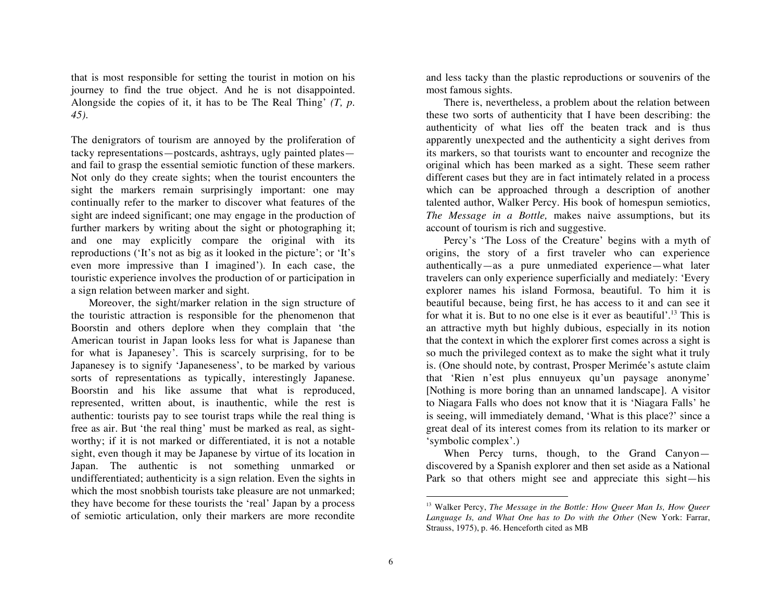that is most responsible for setting the tourist in motion on his journey to find the true object. And he is not disappointed. Alongside the copies of it, it has to be The Real Thing' *(T, p. 45).*

The denigrators of tourism are annoyed by the proliferation of tacky representations—postcards, ashtrays, ugly painted plates and fail to grasp the essential semiotic function of these markers. Not only do they create sights; when the tourist encounters the sight the markers remain surprisingly important: one may continually refer to the marker to discover what features of the sight are indeed significant; one may engage in the production of further markers by writing about the sight or photographing it; and one may explicitly compare the original with its reproductions ('It's not as big as it looked in the picture'; or 'It's even more impressive than I imagined'). In each case, the touristic experience involves the production of or participation in a sign relation between marker and sight.

Moreover, the sight/marker relation in the sign structure of the touristic attraction is responsible for the phenomenon that Boorstin and others deplore when they complain that 'the American tourist in Japan looks less for what is Japanese than for what is Japanesey'. This is scarcely surprising, for to be Japanesey is to signify 'Japaneseness', to be marked by various sorts of representations as typically, interestingly Japanese. Boorstin and his like assume that what is reproduced, represented, written about, is inauthentic, while the rest is authentic: tourists pay to see tourist traps while the real thing is free as air. But 'the real thing' must be marked as real, as sightworthy; if it is not marked or differentiated, it is not a notable sight, even though it may be Japanese by virtue of its location in Japan. The authentic is not something unmarked or undifferentiated; authenticity is a sign relation. Even the sights in which the most snobbish tourists take pleasure are not unmarked; they have become for these tourists the 'real' Japan by a process of semiotic articulation, only their markers are more recondite

and less tacky than the plastic reproductions or souvenirs of the most famous sights.

There is, nevertheless, a problem about the relation between these two sorts of authenticity that I have been describing: the authenticity of what lies off the beaten track and is thus apparently unexpected and the authenticity a sight derives from its markers, so that tourists want to encounter and recognize the original which has been marked as a sight. These seem rather different cases but they are in fact intimately related in a process which can be approached through a description of another talented author, Walker Percy. His book of homespun semiotics, *The Message in a Bottle,* makes naive assumptions, but its account of tourism is rich and suggestive.

Percy's 'The Loss of the Creature' begins with a myth of origins, the story of a first traveler who can experience authentically—as a pure unmediated experience—what later travelers can only experience superficially and mediately: 'Every explorer names his island Formosa, beautiful. To him it is beautiful because, being first, he has access to it and can see it for what it is. But to no one else is it ever as beautiful'. <sup>13</sup> This is an attractive myth but highly dubious, especially in its notion that the context in which the explorer first comes across a sight is so much the privileged context as to make the sight what it truly is. (One should note, by contrast, Prosper Merimée's astute claim that 'Rien n'est plus ennuyeux qu'un paysage anonyme' [Nothing is more boring than an unnamed landscape]. A visitor to Niagara Falls who does not know that it is 'Niagara Falls' he is seeing, will immediately demand, 'What is this place?' since a great deal of its interest comes from its relation to its marker or 'symbolic complex'.)

When Percy turns, though, to the Grand Canyondiscovered by a Spanish explorer and then set aside as a National Park so that others might see and appreciate this sight—his

<sup>13</sup> Walker Percy, *The Message in the Bottle: How Queer Man Is, How Queer Language Is, and What One has to Do with the Other* (New York: Farrar, Strauss, 1975), p. 46. Henceforth cited as MB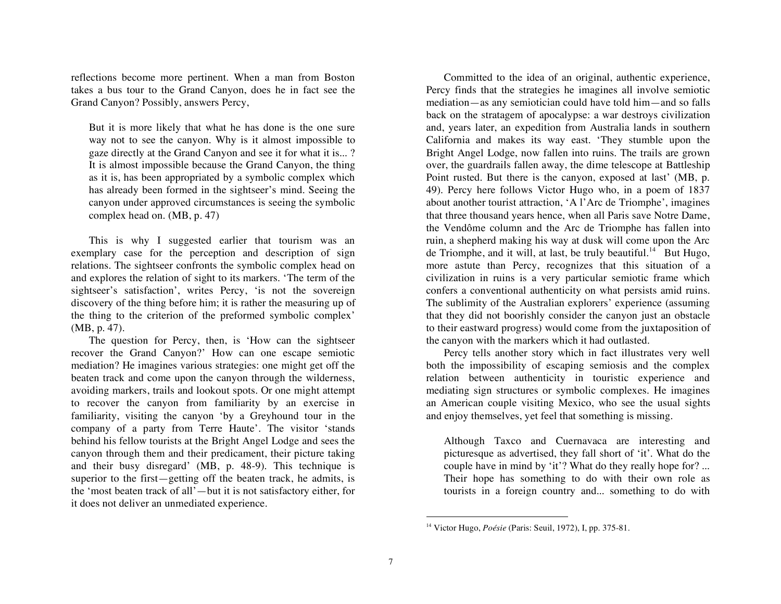reflections become more pertinent. When a man from Boston takes a bus tour to the Grand Canyon, does he in fact see the Grand Canyon? Possibly, answers Percy,

But it is more likely that what he has done is the one sure way not to see the canyon. Why is it almost impossible to gaze directly at the Grand Canyon and see it for what it is... ? It is almost impossible because the Grand Canyon, the thing as it is, has been appropriated by a symbolic complex which has already been formed in the sightseer's mind. Seeing the canyon under approved circumstances is seeing the symbolic complex head on. (MB, p. 47)

This is why I suggested earlier that tourism was an exemplary case for the perception and description of sign relations. The sightseer confronts the symbolic complex head on and explores the relation of sight to its markers. 'The term of the sightseer's satisfaction', writes Percy, 'is not the sovereign discovery of the thing before him; it is rather the measuring up of the thing to the criterion of the preformed symbolic complex' (MB, p. 47).

The question for Percy, then, is 'How can the sightseer recover the Grand Canyon?' How can one escape semiotic mediation? He imagines various strategies: one might get off the beaten track and come upon the canyon through the wilderness, avoiding markers, trails and lookout spots. Or one might attempt to recover the canyon from familiarity by an exercise in familiarity, visiting the canyon 'by a Greyhound tour in the company of a party from Terre Haute'. The visitor 'stands behind his fellow tourists at the Bright Angel Lodge and sees the canyon through them and their predicament, their picture taking and their busy disregard' (MB, p. 48-9). This technique is superior to the first—getting off the beaten track, he admits, is the 'most beaten track of all'—but it is not satisfactory either, for it does not deliver an unmediated experience.

Committed to the idea of an original, authentic experience, Percy finds that the strategies he imagines all involve semiotic mediation—as any semiotician could have told him—and so falls back on the stratagem of apocalypse: a war destroys civilization and, years later, an expedition from Australia lands in southern California and makes its way east. 'They stumble upon the Bright Angel Lodge, now fallen into ruins. The trails are grown over, the guardrails fallen away, the dime telescope at Battleship Point rusted. But there is the canyon, exposed at last' (MB, p. 49). Percy here follows Victor Hugo who, in a poem of 1837 about another tourist attraction, 'A l'Arc de Triomphe', imagines that three thousand years hence, when all Paris save Notre Dame, the Vendôme column and the Arc de Triomphe has fallen into ruin, a shepherd making his way at dusk will come upon the Arc de Triomphe, and it will, at last, be truly beautiful.<sup>14</sup> But Hugo, more astute than Percy, recognizes that this situation of a civilization in ruins is a very particular semiotic frame which confers a conventional authenticity on what persists amid ruins. The sublimity of the Australian explorers' experience (assuming that they did not boorishly consider the canyon just an obstacle to their eastward progress) would come from the juxtaposition of the canyon with the markers which it had outlasted.

Percy tells another story which in fact illustrates very well both the impossibility of escaping semiosis and the complex relation between authenticity in touristic experience and mediating sign structures or symbolic complexes. He imagines an American couple visiting Mexico, who see the usual sights and enjoy themselves, yet feel that something is missing.

Although Taxco and Cuernavaca are interesting and picturesque as advertised, they fall short of 'it'. What do the couple have in mind by 'it'? What do they really hope for? ... Their hope has something to do with their own role as tourists in a foreign country and... something to do with

<sup>14</sup> Victor Hugo, *Poésie* (Paris: Seuil, 1972), I, pp. 375-81.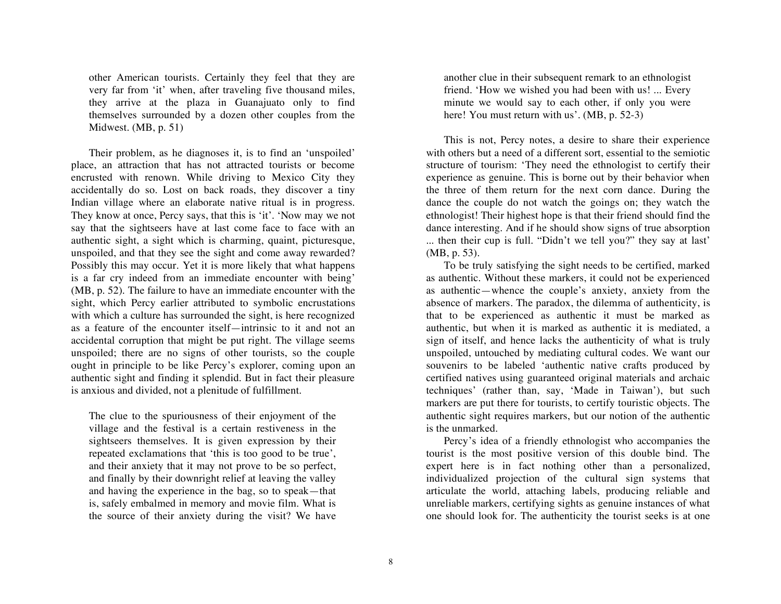other American tourists. Certainly they feel that they are very far from 'it' when, after traveling five thousand miles, they arrive at the plaza in Guanajuato only to find themselves surrounded by a dozen other couples from the Midwest. (MB, p. 51)

Their problem, as he diagnoses it, is to find an 'unspoiled' place, an attraction that has not attracted tourists or become encrusted with renown. While driving to Mexico City they accidentally do so. Lost on back roads, they discover a tiny Indian village where an elaborate native ritual is in progress. They know at once, Percy says, that this is 'it'. 'Now may we not say that the sightseers have at last come face to face with an authentic sight, a sight which is charming, quaint, picturesque, unspoiled, and that they see the sight and come away rewarded? Possibly this may occur. Yet it is more likely that what happens is a far cry indeed from an immediate encounter with being' (MB, p. 52). The failure to have an immediate encounter with the sight, which Percy earlier attributed to symbolic encrustations with which a culture has surrounded the sight, is here recognized as a feature of the encounter itself—intrinsic to it and not an accidental corruption that might be put right. The village seems unspoiled; there are no signs of other tourists, so the couple ought in principle to be like Percy's explorer, coming upon an authentic sight and finding it splendid. But in fact their pleasure is anxious and divided, not a plenitude of fulfillment.

The clue to the spuriousness of their enjoyment of the village and the festival is a certain restiveness in the sightseers themselves. It is given expression by their repeated exclamations that 'this is too good to be true', and their anxiety that it may not prove to be so perfect, and finally by their downright relief at leaving the valley and having the experience in the bag, so to speak—that is, safely embalmed in memory and movie film. What is the source of their anxiety during the visit? We have

another clue in their subsequent remark to an ethnologist friend. 'How we wished you had been with us! ... Every minute we would say to each other, if only you were here! You must return with us'. (MB, p. 52-3)

This is not, Percy notes, a desire to share their experience with others but a need of a different sort, essential to the semiotic structure of tourism: 'They need the ethnologist to certify their experience as genuine. This is borne out by their behavior when the three of them return for the next corn dance. During the dance the couple do not watch the goings on; they watch the ethnologist! Their highest hope is that their friend should find the dance interesting. And if he should show signs of true absorption ... then their cup is full. "Didn't we tell you?" they say at last' (MB, p. 53).

To be truly satisfying the sight needs to be certified, marked as authentic. Without these markers, it could not be experienced as authentic—whence the couple's anxiety, anxiety from the absence of markers. The paradox, the dilemma of authenticity, is that to be experienced as authentic it must be marked as authentic, but when it is marked as authentic it is mediated, a sign of itself, and hence lacks the authenticity of what is truly unspoiled, untouched by mediating cultural codes. We want our souvenirs to be labeled 'authentic native crafts produced by certified natives using guaranteed original materials and archaic techniques' (rather than, say, 'Made in Taiwan'), but such markers are put there for tourists, to certify touristic objects. The authentic sight requires markers, but our notion of the authentic is the unmarked.

Percy's idea of a friendly ethnologist who accompanies the tourist is the most positive version of this double bind. The expert here is in fact nothing other than a personalized, individualized projection of the cultural sign systems that articulate the world, attaching labels, producing reliable and unreliable markers, certifying sights as genuine instances of what one should look for. The authenticity the tourist seeks is at one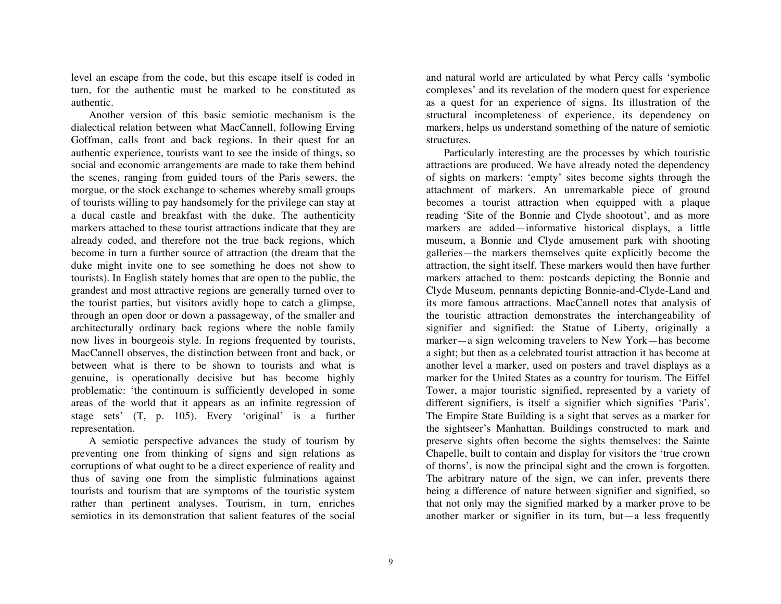level an escape from the code, but this escape itself is coded in turn, for the authentic must be marked to be constituted as authentic.

Another version of this basic semiotic mechanism is the dialectical relation between what MacCannell, following Erving Goffman, calls front and back regions. In their quest for an authentic experience, tourists want to see the inside of things, so social and economic arrangements are made to take them behind the scenes, ranging from guided tours of the Paris sewers, the morgue, or the stock exchange to schemes whereby small groups of tourists willing to pay handsomely for the privilege can stay at a ducal castle and breakfast with the duke. The authenticity markers attached to these tourist attractions indicate that they are already coded, and therefore not the true back regions, which become in turn a further source of attraction (the dream that the duke might invite one to see something he does not show to tourists). In English stately homes that are open to the public, the grandest and most attractive regions are generally turned over to the tourist parties, but visitors avidly hope to catch a glimpse, through an open door or down a passageway, of the smaller and architecturally ordinary back regions where the noble family now lives in bourgeois style. In regions frequented by tourists, MacCannell observes, the distinction between front and back, or between what is there to be shown to tourists and what is genuine, is operationally decisive but has become highly problematic: 'the continuum is sufficiently developed in some areas of the world that it appears as an infinite regression of stage sets' (T, p. 105). Every 'original' is a further representation.

A semiotic perspective advances the study of tourism by preventing one from thinking of signs and sign relations as corruptions of what ought to be a direct experience of reality and thus of saving one from the simplistic fulminations against tourists and tourism that are symptoms of the touristic system rather than pertinent analyses. Tourism, in turn, enriches semiotics in its demonstration that salient features of the social

and natural world are articulated by what Percy calls 'symbolic complexes' and its revelation of the modern quest for experience as a quest for an experience of signs. Its illustration of the structural incompleteness of experience, its dependency on markers, helps us understand something of the nature of semiotic structures.

Particularly interesting are the processes by which touristic attractions are produced. We have already noted the dependency of sights on markers: 'empty' sites become sights through the attachment of markers. An unremarkable piece of ground becomes a tourist attraction when equipped with a plaque reading 'Site of the Bonnie and Clyde shootout', and as more markers are added—informative historical displays, a little museum, a Bonnie and Clyde amusement park with shooting galleries—the markers themselves quite explicitly become the attraction, the sight itself. These markers would then have further markers attached to them: postcards depicting the Bonnie and Clyde Museum, pennants depicting Bonnie-and-Clyde-Land and its more famous attractions. MacCannell notes that analysis of the touristic attraction demonstrates the interchangeability of signifier and signified: the Statue of Liberty, originally a marker—a sign welcoming travelers to New York—has become a sight; but then as a celebrated tourist attraction it has become at another level a marker, used on posters and travel displays as a marker for the United States as a country for tourism. The Eiffel Tower, a major touristic signified, represented by a variety of different signifiers, is itself a signifier which signifies 'Paris'. The Empire State Building is a sight that serves as a marker for the sightseer's Manhattan. Buildings constructed to mark and preserve sights often become the sights themselves: the Sainte Chapelle, built to contain and display for visitors the 'true crown of thorns', is now the principal sight and the crown is forgotten. The arbitrary nature of the sign, we can infer, prevents there being a difference of nature between signifier and signified, so that not only may the signified marked by a marker prove to be another marker or signifier in its turn, but—a less frequently